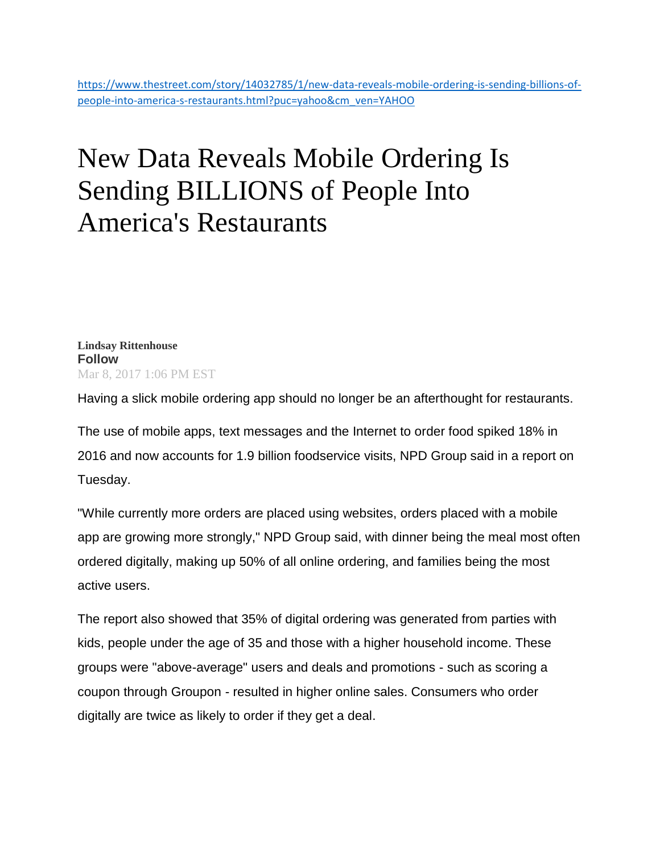## New Data Reveals Mobile Ordering Is Sending BILLIONS of People Into America's Restaurants

**[Lindsay Rittenhouse](https://www.thestreet.com/author/1684735/lindsay-rittenhouse/all.html)  Follow** Mar 8, 2017 1:06 PM EST

Having a slick mobile ordering app should no longer be an afterthought for restaurants.

The use of mobile apps, text messages and the Internet to order food spiked 18% in 2016 and now accounts for 1.9 billion foodservice visits, NPD Group said in a report on Tuesday.

"While currently more orders are placed using websites, orders placed with a mobile app are growing more strongly," NPD Group said, with dinner being the meal most often ordered digitally, making up 50% of all online ordering, and families being the most active users.

The report also showed that 35% of digital ordering was generated from parties with kids, people under the age of 35 and those with a higher household income. These groups were "above-average" users and deals and promotions - such as scoring a coupon through Groupon - resulted in higher online sales. Consumers who order digitally are twice as likely to order if they get a deal.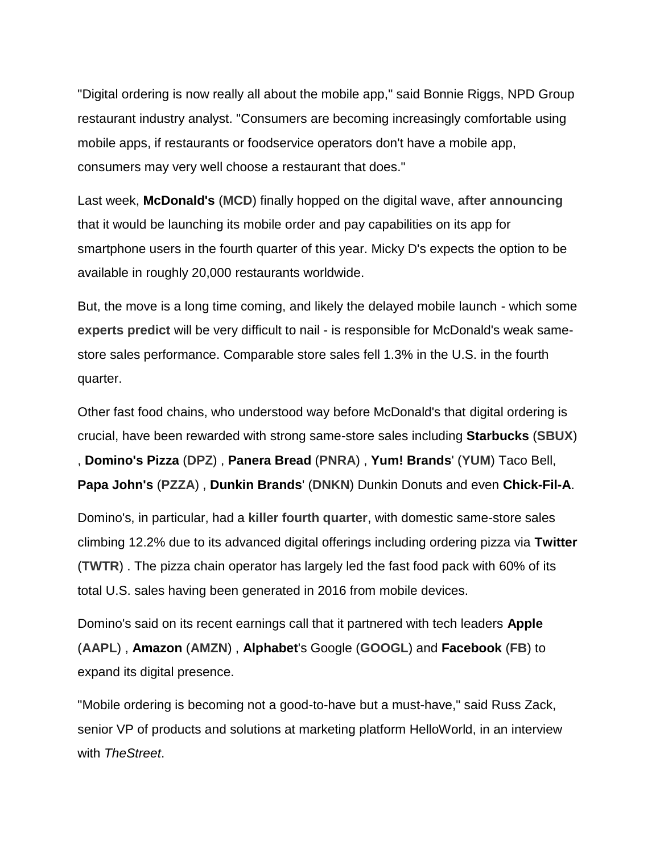"Digital ordering is now really all about the mobile app," said Bonnie Riggs, NPD Group restaurant industry analyst. "Consumers are becoming increasingly comfortable using mobile apps, if restaurants or foodservice operators don't have a mobile app, consumers may very well choose a restaurant that does."

Last week, **McDonald's** (**[MCD](https://www.thestreet.com/quote/MCD.html)**) finally hopped on the digital wave, **[after announcing](https://www.thestreet.com/story/14013408/1/i-would-rather-eat-a-rancid-big-mac-than-buy-mcdonald-s-stock.html)** that it would be launching its mobile order and pay capabilities on its app for smartphone users in the fourth quarter of this year. Micky D's expects the option to be available in roughly 20,000 restaurants worldwide.

But, the move is a long time coming, and likely the delayed mobile launch - which some **[experts predict](https://www.thestreet.com/story/14022618/2/mcdonald-s-could-have-a-brutally-hard-time-trying-to-become-mobile-friendly-like-starbucks.html)** will be very difficult to nail - is responsible for McDonald's weak samestore sales performance. Comparable store sales fell 1.3% in the U.S. in the fourth quarter.

Other fast food chains, who understood way before McDonald's that digital ordering is crucial, have been rewarded with strong same-store sales including **Starbucks** (**[SBUX](https://www.thestreet.com/quote/SBUX.html)**) , **Domino's Pizza** (**[DPZ](https://www.thestreet.com/quote/DPZ.html)**) , **Panera Bread** (**[PNRA](https://www.thestreet.com/quote/PNRA.html)**) , **Yum! Brands**' (**[YUM](https://www.thestreet.com/quote/YUM.html)**) Taco Bell, **Papa John's** (**[PZZA](https://www.thestreet.com/quote/PZZA.html)**) , **Dunkin Brands**' (**[DNKN](https://www.thestreet.com/quote/DNKN.html)**) Dunkin Donuts and even **Chick-Fil-A**.

Domino's, in particular, had a **[killer fourth quarter](https://www.thestreet.com/story/14019574/1/here-s-the-big-secret-behind-why-domino-s-pizza-is-crushing-everyone-in-the-fast-food-industry.html)**, with domestic same-store sales climbing 12.2% due to its advanced digital offerings including ordering pizza via **Twitter** (**[TWTR](https://www.thestreet.com/quote/TWTR.html)**) . The pizza chain operator has largely led the fast food pack with 60% of its total U.S. sales having been generated in 2016 from mobile devices.

Domino's said on its recent earnings call that it partnered with tech leaders **Apple** (**[AAPL](https://www.thestreet.com/quote/AAPL.html)**) , **Amazon** (**[AMZN](https://www.thestreet.com/quote/AMZN.html)**) , **Alphabet**'s Google (**[GOOGL](https://www.thestreet.com/quote/GOOGL.html)**) and **Facebook** (**[FB](https://www.thestreet.com/quote/FB.html)**) to expand its digital presence.

"Mobile ordering is becoming not a good-to-have but a must-have," said Russ Zack, senior VP of products and solutions at marketing platform HelloWorld, in an interview with *TheStreet*.